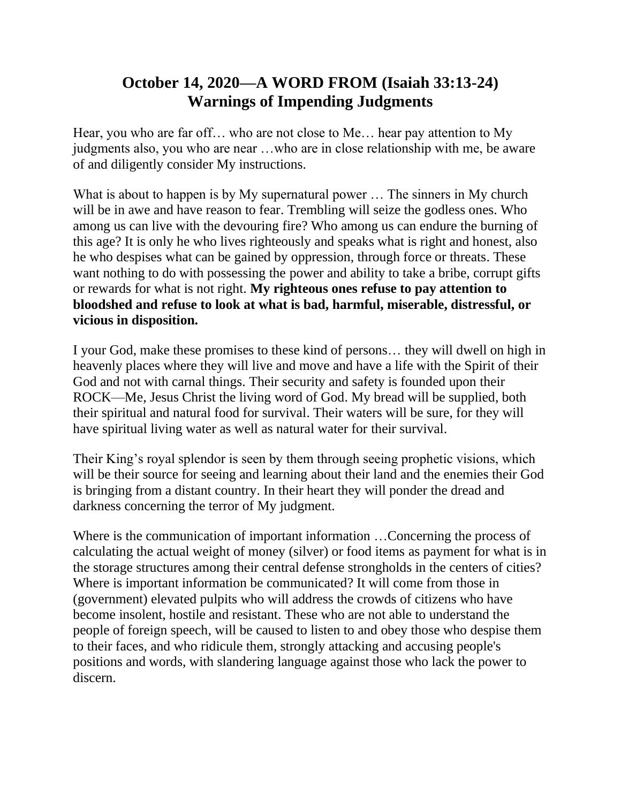## **October 14, 2020—A WORD FROM (Isaiah 33:13-24) Warnings of Impending Judgments**

Hear, you who are far off… who are not close to Me… hear pay attention to My judgments also, you who are near …who are in close relationship with me, be aware of and diligently consider My instructions.

What is about to happen is by My supernatural power ... The sinners in My church will be in awe and have reason to fear. Trembling will seize the godless ones. Who among us can live with the devouring fire? Who among us can endure the burning of this age? It is only he who lives righteously and speaks what is right and honest, also he who despises what can be gained by oppression, through force or threats. These want nothing to do with possessing the power and ability to take a bribe, corrupt gifts or rewards for what is not right. **My righteous ones refuse to pay attention to bloodshed and refuse to look at what is bad, harmful, miserable, distressful, or vicious in disposition.**

I your God, make these promises to these kind of persons… they will dwell on high in heavenly places where they will live and move and have a life with the Spirit of their God and not with carnal things. Their security and safety is founded upon their ROCK—Me, Jesus Christ the living word of God. My bread will be supplied, both their spiritual and natural food for survival. Their waters will be sure, for they will have spiritual living water as well as natural water for their survival.

Their King's royal splendor is seen by them through seeing prophetic visions, which will be their source for seeing and learning about their land and the enemies their God is bringing from a distant country. In their heart they will ponder the dread and darkness concerning the terror of My judgment.

Where is the communication of important information …Concerning the process of calculating the actual weight of money (silver) or food items as payment for what is in the storage structures among their central defense strongholds in the centers of cities? Where is important information be communicated? It will come from those in (government) elevated pulpits who will address the crowds of citizens who have become insolent, hostile and resistant. These who are not able to understand the people of foreign speech, will be caused to listen to and obey those who despise them to their faces, and who ridicule them, strongly attacking and accusing people's positions and words, with slandering language against those who lack the power to discern.